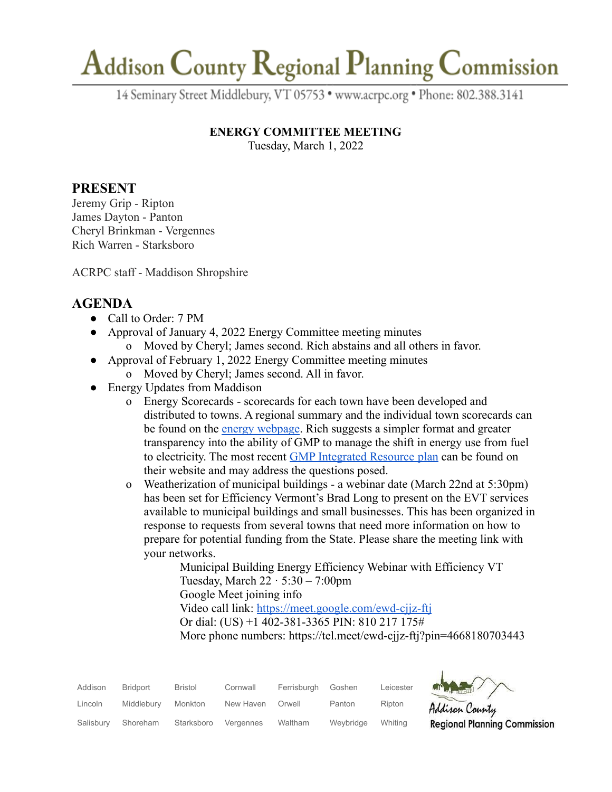## Addison County Regional Planning Commission

14 Seminary Street Middlebury, VT 05753 · www.acrpc.org · Phone: 802.388.3141

#### **ENERGY COMMITTEE MEETING**

Tuesday, March 1, 2022

### **PRESENT**

Jeremy Grip - Ripton James Dayton - Panton Cheryl Brinkman - Vergennes Rich Warren - Starksboro

ACRPC staff - Maddison Shropshire

### **AGENDA**

- Call to Order: 7 PM
- Approval of January 4, 2022 Energy Committee meeting minutes
	- o Moved by Cheryl; James second. Rich abstains and all others in favor.
- Approval of February 1, 2022 Energy Committee meeting minutes
	- o Moved by Cheryl; James second. All in favor.
- Energy Updates from Maddison
	- o Energy Scorecards scorecards for each town have been developed and distributed to towns. A regional summary and the individual town scorecards can be found on the [energy webpage](https://acrpc.org/regional-programs/energy/). Rich suggests a simpler format and greater transparency into the ability of GMP to manage the shift in energy use from fuel to electricity. The most recent [GMP Integrated Resource](https://greenmountainpower.com/wp-content/uploads/2021/12/2021-Integrated-Resource-Plan.pdf) plan can be found on their website and may address the questions posed.
	- o Weatherization of municipal buildings a webinar date (March 22nd at 5:30pm) has been set for Efficiency Vermont's Brad Long to present on the EVT services available to municipal buildings and small businesses. This has been organized in response to requests from several towns that need more information on how to prepare for potential funding from the State. Please share the meeting link with your networks.

Municipal Building Energy Efficiency Webinar with Efficiency VT Tuesday, March  $22 \cdot 5:30 - 7:00$ pm Google Meet joining info Video call link: <https://meet.google.com/ewd-cjjz-ftj> Or dial: (US) +1 402-381-3365 PIN: 810 217 175# More phone numbers: https://tel.meet/ewd-cjjz-ftj?pin=4668180703443

| Addison   | <b>Bridport</b> | <b>Bristol</b> | Cornwall  | Ferrisburgh | Goshen    | Leicester | <b>AT THE</b> |
|-----------|-----------------|----------------|-----------|-------------|-----------|-----------|---------------|
| Lincoln   | Middlebury      | Monkton        | New Haven | Orwell      | Panton    | Ripton    | Addison       |
| Salisbury | Shoreham        | Starksboro     | Vergennes | Waltham     | Weybridge | Whitina   | Region        |



al Planning Commission